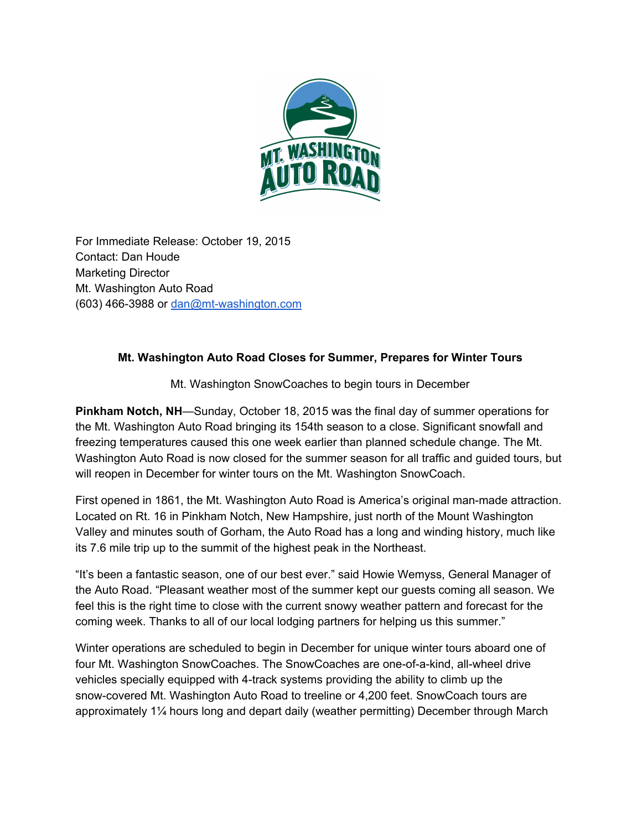

For Immediate Release: October 19, 2015 Contact: Dan Houde Marketing Director Mt. Washington Auto Road  $(603)$  466-3988 or dan@mt-washington.com

## **Mt. Washington Auto Road Closes for Summer, Prepares for Winter Tours**

Mt. Washington SnowCoaches to begin tours in December

**Pinkham Notch, NH**—Sunday, October 18, 2015 was the final day of summer operations for the Mt. Washington Auto Road bringing its 154th season to a close. Significant snowfall and freezing temperatures caused this one week earlier than planned schedule change. The Mt. Washington Auto Road is now closed for the summer season for all traffic and guided tours, but will reopen in December for winter tours on the Mt. Washington SnowCoach.

First opened in 1861, the Mt. Washington Auto Road is America's original man-made attraction. Located on Rt. 16 in Pinkham Notch, New Hampshire, just north of the Mount Washington Valley and minutes south of Gorham, the Auto Road has a long and winding history, much like its 7.6 mile trip up to the summit of the highest peak in the Northeast.

"It's been a fantastic season, one of our best ever." said Howie Wemyss, General Manager of the Auto Road. "Pleasant weather most of the summer kept our guests coming all season. We feel this is the right time to close with the current snowy weather pattern and forecast for the coming week. Thanks to all of our local lodging partners for helping us this summer."

Winter operations are scheduled to begin in December for unique winter tours aboard one of four Mt. Washington SnowCoaches. The SnowCoaches are one-of-a-kind, all-wheel drive vehicles specially equipped with 4-track systems providing the ability to climb up the snowcovered Mt. Washington Auto Road to treeline or 4,200 feet. SnowCoach tours are approximately 1¼ hours long and depart daily (weather permitting) December through March